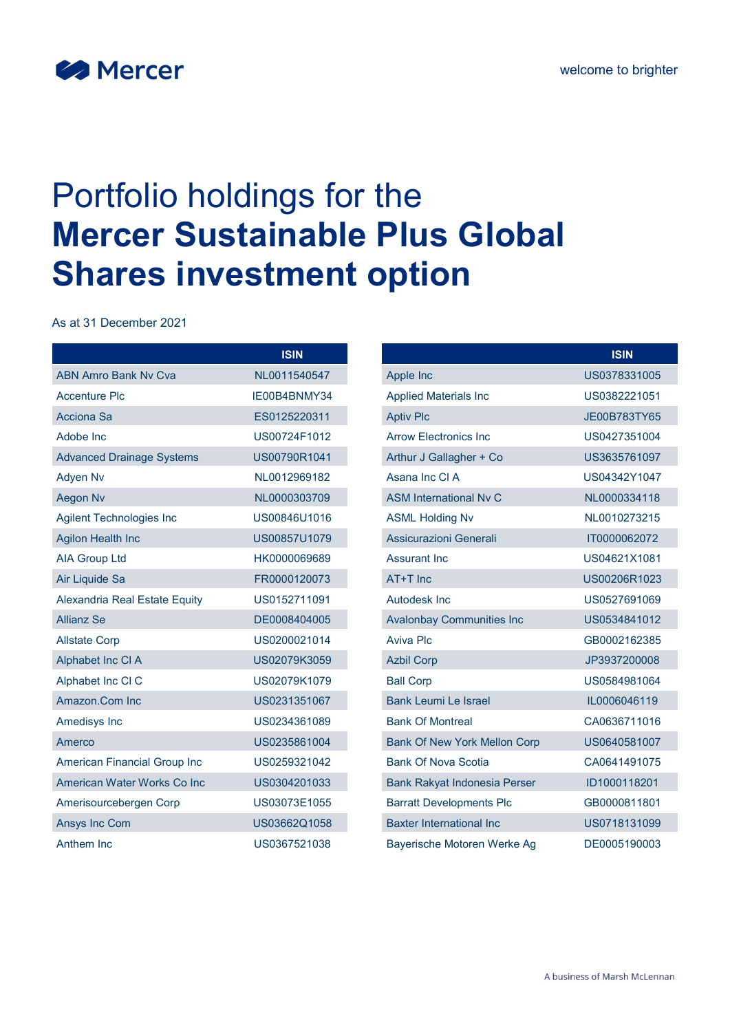

# Portfolio holdings for the Mercer Sustainable Plus Global Shares investment option

As at 31 December 2021

|                                  | <b>ISIN</b>  |
|----------------------------------|--------------|
| <b>ABN Amro Bank Ny Cya</b>      | NL0011540547 |
| <b>Accenture Plc</b>             | IE00B4BNMY34 |
| <b>Acciona Sa</b>                | ES0125220311 |
| Adobe Inc                        | US00724F1012 |
| <b>Advanced Drainage Systems</b> | US00790R1041 |
| <b>Adyen Nv</b>                  | NL0012969182 |
| <b>Aegon Nv</b>                  | NL0000303709 |
| <b>Agilent Technologies Inc</b>  | US00846U1016 |
| <b>Agilon Health Inc</b>         | US00857U1079 |
| <b>AIA Group Ltd</b>             | HK0000069689 |
| Air Liquide Sa                   | FR0000120073 |
| Alexandria Real Estate Equity    | US0152711091 |
| <b>Allianz Se</b>                | DE0008404005 |
| <b>Allstate Corp</b>             | US0200021014 |
| Alphabet Inc CI A                | US02079K3059 |
| Alphabet Inc CI C                | US02079K1079 |
| Amazon.Com Inc                   | US0231351067 |
| Amedisys Inc                     | US0234361089 |
| Amerco                           | US0235861004 |
| American Financial Group Inc     | US0259321042 |
| American Water Works Co Inc      | US0304201033 |
| Amerisourcebergen Corp           | US03073E1055 |
| <b>Ansys Inc Com</b>             | US03662Q1058 |
| Anthem Inc.                      | US0367521038 |

|                                     | <b>ISIN</b>  |
|-------------------------------------|--------------|
| Apple Inc                           | US0378331005 |
| <b>Applied Materials Inc</b>        | US0382221051 |
| <b>Aptiv Plc</b>                    | JE00B783TY65 |
| <b>Arrow Electronics Inc.</b>       | US0427351004 |
| Arthur J Gallagher + Co             | US3635761097 |
| Asana Inc CLA                       | US04342Y1047 |
| <b>ASM International Ny C</b>       | NL0000334118 |
| <b>ASML Holding Nv</b>              | NL0010273215 |
| Assicurazioni Generali              | IT0000062072 |
| <b>Assurant Inc.</b>                | US04621X1081 |
| AT+T Inc                            | US00206R1023 |
| Autodesk Inc                        | US0527691069 |
| <b>Avalonbay Communities Inc</b>    | US0534841012 |
| Aviva Plc                           | GB0002162385 |
| <b>Azbil Corp</b>                   | JP3937200008 |
| <b>Ball Corp</b>                    | US0584981064 |
| <b>Bank Leumi Le Israel</b>         | IL0006046119 |
| <b>Bank Of Montreal</b>             | CA0636711016 |
| <b>Bank Of New York Mellon Corp</b> | US0640581007 |
| <b>Bank Of Nova Scotia</b>          | CA0641491075 |
| <b>Bank Rakyat Indonesia Perser</b> | ID1000118201 |
| <b>Barratt Developments Plc</b>     | GB0000811801 |
| <b>Baxter International Inc</b>     | US0718131099 |
| Bayerische Motoren Werke Ag         | DE0005190003 |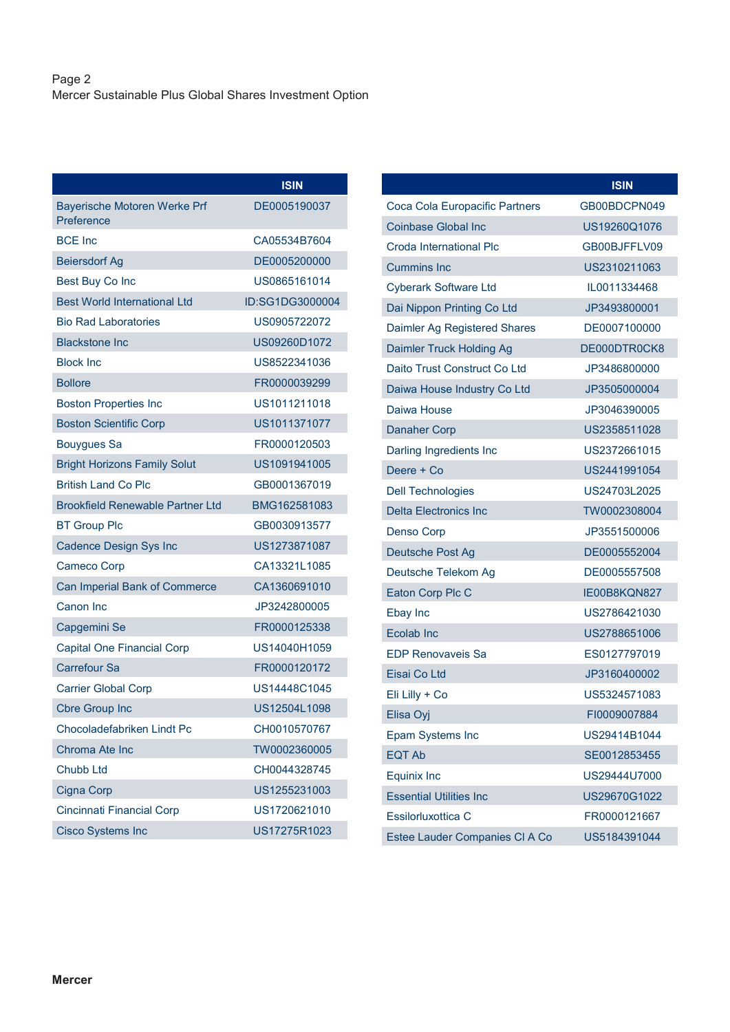|                                            | <b>ISIN</b>     |
|--------------------------------------------|-----------------|
| Bayerische Motoren Werke Prf<br>Preference | DE0005190037    |
| <b>BCE Inc</b>                             | CA05534B7604    |
| <b>Beiersdorf Ag</b>                       | DE0005200000    |
| Best Buy Co Inc                            | US0865161014    |
| <b>Best World International Ltd</b>        | ID:SG1DG3000004 |
| <b>Bio Rad Laboratories</b>                | US0905722072    |
| <b>Blackstone Inc.</b>                     | US09260D1072    |
| <b>Block Inc</b>                           | US8522341036    |
| <b>Bollore</b>                             | FR0000039299    |
| <b>Boston Properties Inc</b>               | US1011211018    |
| <b>Boston Scientific Corp</b>              | US1011371077    |
| <b>Bouygues Sa</b>                         | FR0000120503    |
| <b>Bright Horizons Family Solut</b>        | US1091941005    |
| <b>British Land Co Plc</b>                 | GB0001367019    |
| <b>Brookfield Renewable Partner Ltd</b>    | BMG162581083    |
| <b>BT Group Plc</b>                        | GB0030913577    |
| <b>Cadence Design Sys Inc</b>              | US1273871087    |
| <b>Cameco Corp</b>                         | CA13321L1085    |
| Can Imperial Bank of Commerce              | CA1360691010    |
| Canon Inc                                  | JP3242800005    |
| Capgemini Se                               | FR0000125338    |
| <b>Capital One Financial Corp</b>          | US14040H1059    |
| <b>Carrefour Sa</b>                        | FR0000120172    |
| <b>Carrier Global Corp</b>                 | US14448C1045    |
| <b>Cbre Group Inc</b>                      | US12504L1098    |
| Chocoladefabriken Lindt Pc                 | CH0010570767    |
| Chroma Ate Inc                             | TW0002360005    |
| <b>Chubb Ltd</b>                           | CH0044328745    |
| <b>Cigna Corp</b>                          | US1255231003    |
| <b>Cincinnati Financial Corp</b>           | US1720621010    |
| <b>Cisco Systems Inc</b>                   | US17275R1023    |

|                                | <b>ISIN</b>  |
|--------------------------------|--------------|
| Coca Cola Europacific Partners | GB00BDCPN049 |
| Coinbase Global Inc            | US19260Q1076 |
| Croda International Plc        | GB00BJFFLV09 |
| <b>Cummins Inc</b>             | US2310211063 |
| <b>Cyberark Software Ltd</b>   | IL0011334468 |
| Dai Nippon Printing Co Ltd     | JP3493800001 |
| Daimler Ag Registered Shares   | DE0007100000 |
| Daimler Truck Holding Ag       | DE000DTR0CK8 |
| Daito Trust Construct Co Ltd   | JP3486800000 |
| Daiwa House Industry Co Ltd    | JP3505000004 |
| Daiwa House                    | JP3046390005 |
| <b>Danaher Corp</b>            | US2358511028 |
| Darling Ingredients Inc        | US2372661015 |
| Deere + Co                     | US2441991054 |
| <b>Dell Technologies</b>       | US24703L2025 |
| <b>Delta Flectronics Inc.</b>  | TW0002308004 |
| Denso Corp                     | JP3551500006 |
| Deutsche Post Ag               | DE0005552004 |
| Deutsche Telekom Ag            | DE0005557508 |
| Eaton Corp Plc C               | IE00B8KQN827 |
| Ebay Inc                       | US2786421030 |
| Ecolab Inc                     | US2788651006 |
| <b>EDP Renovaveis Sa</b>       | ES0127797019 |
| Eisai Co Ltd                   | JP3160400002 |
| Eli Lilly + Co                 | US5324571083 |
| Elisa Oyi                      | FI0009007884 |
| <b>Epam Systems Inc</b>        | US29414B1044 |
| <b>EQT Ab</b>                  | SE0012853455 |
| <b>Equinix Inc</b>             | US29444U7000 |
| <b>Essential Utilities Inc</b> | US29670G1022 |
| Essilorluxottica C             | FR0000121667 |
| Estee Lauder Companies CI A Co | US5184391044 |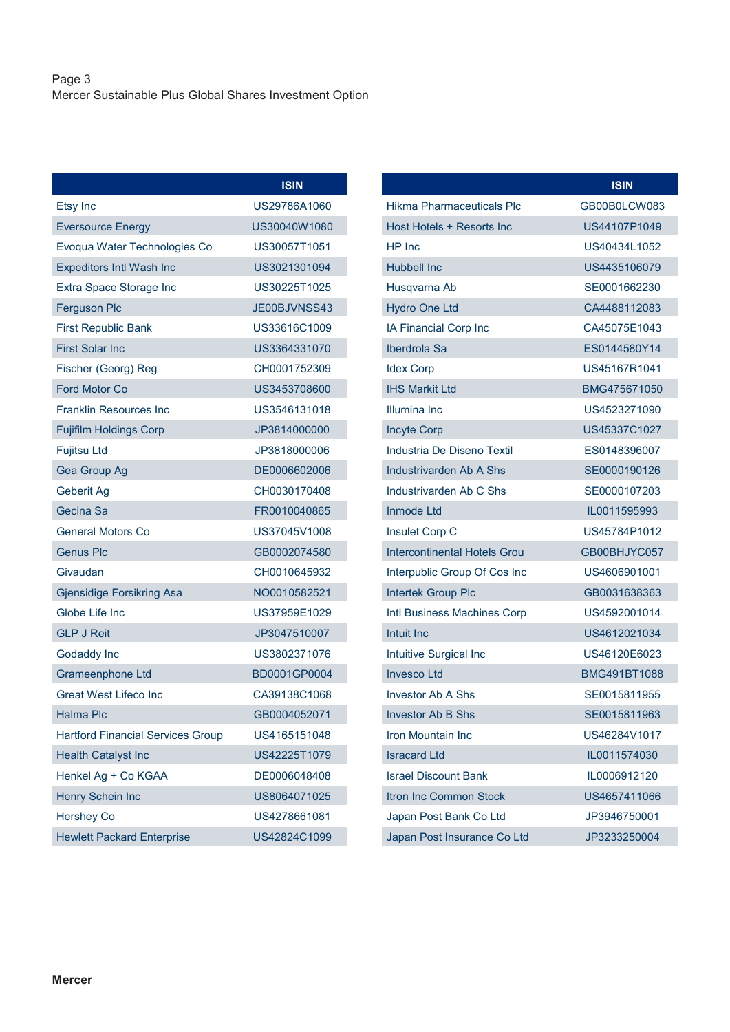# Page 3 Mercer Sustainable Plus Global Shares Investment Option

|                                          | <b>ISIN</b>  |  |
|------------------------------------------|--------------|--|
| Etsy Inc                                 | US29786A1060 |  |
| <b>Eversource Energy</b>                 | US30040W1080 |  |
| Evoqua Water Technologies Co             | US30057T1051 |  |
| <b>Expeditors Intl Wash Inc</b>          | US3021301094 |  |
| Extra Space Storage Inc                  | US30225T1025 |  |
| <b>Ferguson Plc</b>                      | JE00BJVNSS43 |  |
| <b>First Republic Bank</b>               | US33616C1009 |  |
| <b>First Solar Inc</b>                   | US3364331070 |  |
| Fischer (Georg) Reg                      | CH0001752309 |  |
| <b>Ford Motor Co</b>                     | US3453708600 |  |
| <b>Franklin Resources Inc</b>            | US3546131018 |  |
| <b>Fujifilm Holdings Corp</b>            | JP3814000000 |  |
| <b>Fujitsu Ltd</b>                       | JP3818000006 |  |
| Gea Group Ag                             | DE0006602006 |  |
| Geberit Ag                               | CH0030170408 |  |
| Gecina Sa                                | FR0010040865 |  |
| <b>General Motors Co</b>                 | US37045V1008 |  |
| <b>Genus Plc</b>                         | GB0002074580 |  |
| Givaudan                                 | CH0010645932 |  |
| <b>Gjensidige Forsikring Asa</b>         | NO0010582521 |  |
| Globe Life Inc                           | US37959E1029 |  |
| <b>GLP J Reit</b>                        | JP3047510007 |  |
| <b>Godaddy Inc</b>                       | US3802371076 |  |
| Grameenphone Ltd                         | BD0001GP0004 |  |
| <b>Great West Lifeco Inc</b>             | CA39138C1068 |  |
| <b>Halma Plc</b>                         | GB0004052071 |  |
| <b>Hartford Financial Services Group</b> | US4165151048 |  |
| <b>Health Catalyst Inc</b>               | US42225T1079 |  |
| Henkel Ag + Co KGAA                      | DE0006048408 |  |
| <b>Henry Schein Inc</b>                  | US8064071025 |  |
| <b>Hershey Co</b>                        | US4278661081 |  |
| <b>Hewlett Packard Enterprise</b>        | US42824C1099 |  |

|                                  | <b>ISIN</b>  |
|----------------------------------|--------------|
| <b>Hikma Pharmaceuticals Plc</b> | GB00B0LCW083 |
| Host Hotels + Resorts Inc        | US44107P1049 |
| HP Inc.                          | US40434L1052 |
| Hubbell Inc.                     | US4435106079 |
| Husqvarna Ab                     | SE0001662230 |
| <b>Hydro One Ltd</b>             | CA4488112083 |
| IA Financial Corp Inc            | CA45075F1043 |
| Iberdrola Sa                     | ES0144580Y14 |
| <b>Idex Corp</b>                 | US45167R1041 |
| <b>IHS Markit Ltd</b>            | BMG475671050 |
| Illumina Inc                     | US4523271090 |
| <b>Incyte Corp</b>               | US45337C1027 |
| Industria De Diseno Textil       | ES0148396007 |
| <b>Industrivarden Ab A Shs</b>   | SE0000190126 |
| Industrivarden Ab C Shs          | SE0000107203 |
| Inmode Ltd                       | IL0011595993 |
| Insulet Corp C                   | US45784P1012 |
| Intercontinental Hotels Grou     | GB00BHJYC057 |
| Interpublic Group Of Cos Inc     | US4606901001 |
| <b>Intertek Group Plc</b>        | GB0031638363 |
| Intl Business Machines Corp      | US4592001014 |
| <b>Intuit Inc</b>                | US4612021034 |
| Intuitive Surgical Inc           | US46120F6023 |
| <b>Invesco Ltd</b>               | BMG491BT1088 |
| <b>Investor Ab A Shs</b>         | SE0015811955 |
| <b>Investor Ab B Shs</b>         | SE0015811963 |
| <b>Iron Mountain Inc</b>         | US46284V1017 |
| <b>Isracard Ltd</b>              | IL0011574030 |
| <b>Israel Discount Bank</b>      | IL0006912120 |
| <b>Itron Inc Common Stock</b>    | US4657411066 |
| Japan Post Bank Co Ltd           | JP3946750001 |
| Japan Post Insurance Co Ltd      | JP3233250004 |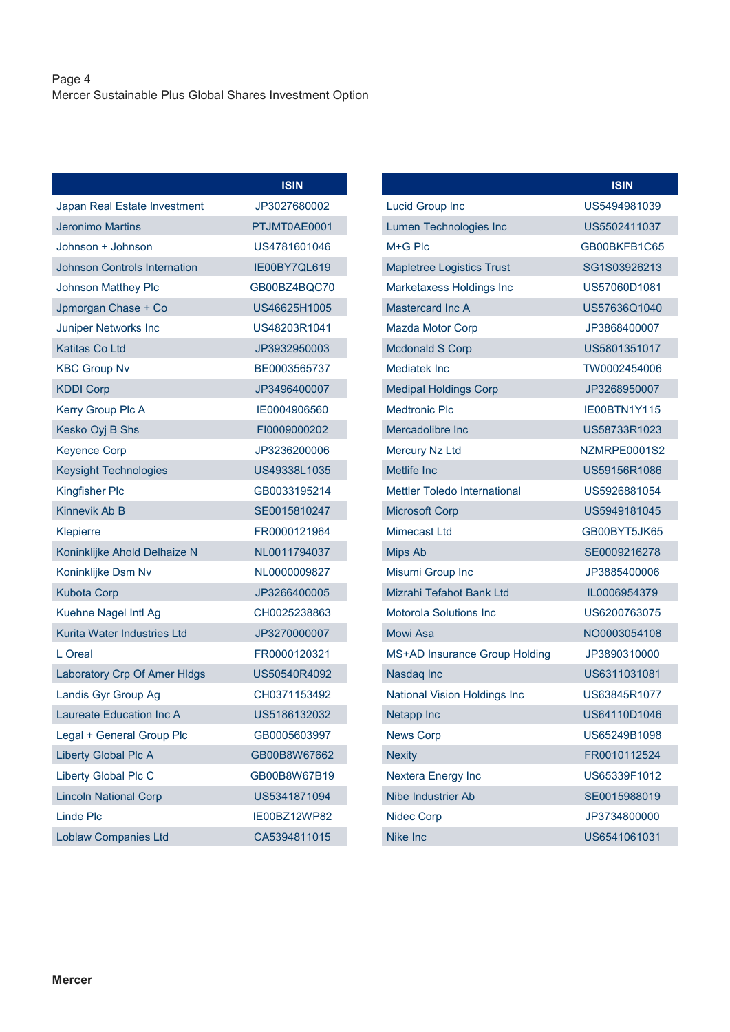## Page 4 Mercer Sustainable Plus Global Shares Investment Option

|                                     | <b>ISIN</b>  |
|-------------------------------------|--------------|
| Japan Real Estate Investment        | JP3027680002 |
| Jeronimo Martins                    | PTJMT0AE0001 |
| Johnson + Johnson                   | US4781601046 |
| <b>Johnson Controls Internation</b> | IE00BY7QL619 |
| <b>Johnson Matthey Plc</b>          | GB00BZ4BQC70 |
| Jpmorgan Chase + Co                 | US46625H1005 |
| <b>Juniper Networks Inc</b>         | US48203R1041 |
| Katitas Co Ltd                      | JP3932950003 |
| <b>KBC Group Nv</b>                 | BE0003565737 |
| <b>KDDI Corp</b>                    | JP3496400007 |
| Kerry Group Plc A                   | IE0004906560 |
| Kesko Oyj B Shs                     | FI0009000202 |
| <b>Keyence Corp</b>                 | JP3236200006 |
| <b>Keysight Technologies</b>        | US49338L1035 |
| <b>Kingfisher Plc</b>               | GB0033195214 |
| Kinnevik Ab B                       | SE0015810247 |
| Klepierre                           | FR0000121964 |
| Koninklijke Ahold Delhaize N        | NL0011794037 |
| Koninklijke Dsm Nv                  | NL0000009827 |
| <b>Kubota Corp</b>                  | JP3266400005 |
| Kuehne Nagel Intl Ag                | CH0025238863 |
| Kurita Water Industries Ltd         | JP3270000007 |
| I Oreal                             | FR0000120321 |
| Laboratory Crp Of Amer HIdgs        | US50540R4092 |
| Landis Gyr Group Ag                 | CH0371153492 |
| Laureate Education Inc A            | US5186132032 |
| Legal + General Group Plc           | GB0005603997 |
| <b>Liberty Global Plc A</b>         | GB00B8W67662 |
| Liberty Global Plc C                | GB00B8W67B19 |
| <b>Lincoln National Corp</b>        | US5341871094 |
| Linde Plc                           | IE00BZ12WP82 |
| <b>Loblaw Companies Ltd</b>         | CA5394811015 |

|                                     | <b>ISIN</b>  |
|-------------------------------------|--------------|
| <b>Lucid Group Inc</b>              | US5494981039 |
| Lumen Technologies Inc              | US5502411037 |
| $M + G$ Plc                         | GB00BKFB1C65 |
| <b>Mapletree Logistics Trust</b>    | SG1S03926213 |
| Marketaxess Holdings Inc            | US57060D1081 |
| Mastercard Inc A                    | US57636Q1040 |
| <b>Mazda Motor Corp</b>             | JP3868400007 |
| <b>Mcdonald S Corp</b>              | US5801351017 |
| Mediatek Inc                        | TW0002454006 |
| <b>Medipal Holdings Corp</b>        | JP3268950007 |
| Medtronic Plc                       | IE00BTN1Y115 |
| Mercadolibre Inc.                   | US58733R1023 |
| <b>Mercury Nz Ltd</b>               | NZMRPE0001S2 |
| <b>Metlife Inc</b>                  | US59156R1086 |
| <b>Mettler Toledo International</b> | US5926881054 |
| <b>Microsoft Corp</b>               | US5949181045 |
| Mimecast I td                       | GB00BYT5JK65 |
| <b>Mips Ab</b>                      | SE0009216278 |
| Misumi Group Inc                    | JP3885400006 |
| Mizrahi Tefahot Bank Ltd            | IL0006954379 |
| <b>Motorola Solutions Inc</b>       | US6200763075 |
| Mowi Asa                            | NO0003054108 |
| MS+AD Insurance Group Holding       | JP3890310000 |
| Nasdaq Inc                          | US6311031081 |
| <b>National Vision Holdings Inc</b> | US63845R1077 |
| <b>Netapp Inc</b>                   | US64110D1046 |
| <b>News Corp</b>                    | US65249B1098 |
| <b>Nexity</b>                       | FR0010112524 |
| Nextera Energy Inc                  | US65339F1012 |
| Nibe Industrier Ab                  | SE0015988019 |
| <b>Nidec Corp</b>                   | JP3734800000 |
| <b>Nike Inc</b>                     | US6541061031 |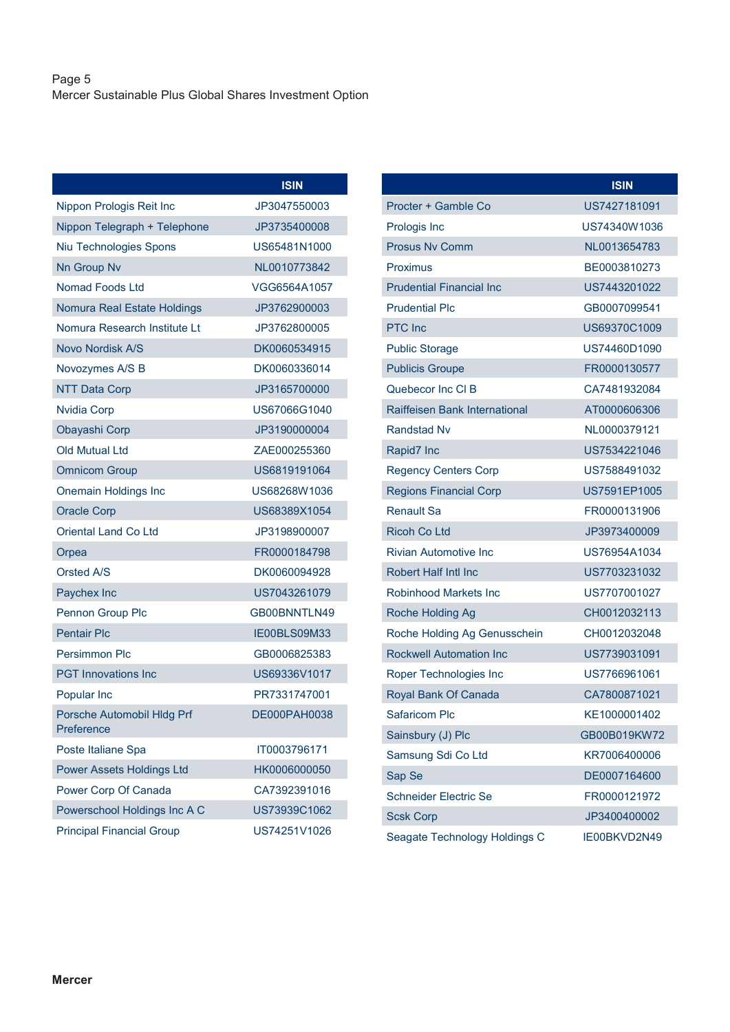## Page 5 Mercer Sustainable Plus Global Shares Investment Option

|                                          | <b>ISIN</b>  |
|------------------------------------------|--------------|
| Nippon Prologis Reit Inc                 | JP3047550003 |
| Nippon Telegraph + Telephone             | JP3735400008 |
| Niu Technologies Spons                   | US65481N1000 |
| Nn Group Nv                              | NL0010773842 |
| Nomad Foods Ltd                          | VGG6564A1057 |
| Nomura Real Estate Holdings              | JP3762900003 |
| Nomura Research Institute Lt             | JP3762800005 |
| Novo Nordisk A/S                         | DK0060534915 |
| Novozymes A/S B                          | DK0060336014 |
| <b>NTT Data Corp</b>                     | JP3165700000 |
| <b>Nvidia Corp</b>                       | US67066G1040 |
| Obayashi Corp                            | JP3190000004 |
| <b>Old Mutual Ltd</b>                    | ZAE000255360 |
| <b>Omnicom Group</b>                     | US6819191064 |
| <b>Onemain Holdings Inc</b>              | US68268W1036 |
| <b>Oracle Corp</b>                       | US68389X1054 |
| <b>Oriental Land Co Ltd</b>              | JP3198900007 |
| Orpea                                    | FR0000184798 |
| Orsted A/S                               | DK0060094928 |
| Paychex Inc                              | US7043261079 |
| Pennon Group Plc                         | GB00BNNTLN49 |
| <b>Pentair Plc</b>                       | IE00BLS09M33 |
| Persimmon Plc                            | GB0006825383 |
| <b>PGT</b> Innovations Inc               | US69336V1017 |
| Popular Inc                              | PR7331747001 |
| Porsche Automobil Hldg Prf<br>Preference | DE000PAH0038 |
| Poste Italiane Spa                       | IT0003796171 |
| Power Assets Holdings Ltd                | HK0006000050 |
| Power Corp Of Canada                     | CA7392391016 |
| Powerschool Holdings Inc A C             | US73939C1062 |
| <b>Principal Financial Group</b>         | US74251V1026 |

|                                 | <b>ISIN</b>  |
|---------------------------------|--------------|
| Procter + Gamble Co             | US7427181091 |
| Prologis Inc                    | US74340W1036 |
| <b>Prosus Ny Comm</b>           | NL0013654783 |
| Proximus                        | BE0003810273 |
| <b>Prudential Financial Inc</b> | US7443201022 |
| <b>Prudential Plc</b>           | GB0007099541 |
| PTC Inc                         | US69370C1009 |
| <b>Public Storage</b>           | US74460D1090 |
| <b>Publicis Groupe</b>          | FR0000130577 |
| Quebecor Inc CI B               | CA7481932084 |
| Raiffeisen Bank International   | AT0000606306 |
| <b>Randstad Nv</b>              | NL0000379121 |
| Rapid7 Inc                      | US7534221046 |
| <b>Regency Centers Corp</b>     | US7588491032 |
| <b>Regions Financial Corp</b>   | US7591EP1005 |
| Renault Sa                      | FR0000131906 |
| <b>Ricoh Co Ltd</b>             | JP3973400009 |
| Rivian Automotive Inc.          | US76954A1034 |
| <b>Robert Half Intl Inc</b>     | US7703231032 |
| <b>Robinhood Markets Inc</b>    | US7707001027 |
| Roche Holding Ag                | CH0012032113 |
| Roche Holding Ag Genusschein    | CH0012032048 |
| <b>Rockwell Automation Inc.</b> | US7739031091 |
| Roper Technologies Inc          | US7766961061 |
| Royal Bank Of Canada            | CA7800871021 |
| Safaricom Plc                   | KE1000001402 |
| Sainsbury (J) Plc               | GB00B019KW72 |
| Samsung Sdi Co Ltd              | KR7006400006 |
| Sap Se                          | DE0007164600 |
| Schneider Electric Se           | FR0000121972 |
| <b>Scsk Corp</b>                | JP3400400002 |
| Seagate Technology Holdings C   | IE00BKVD2N49 |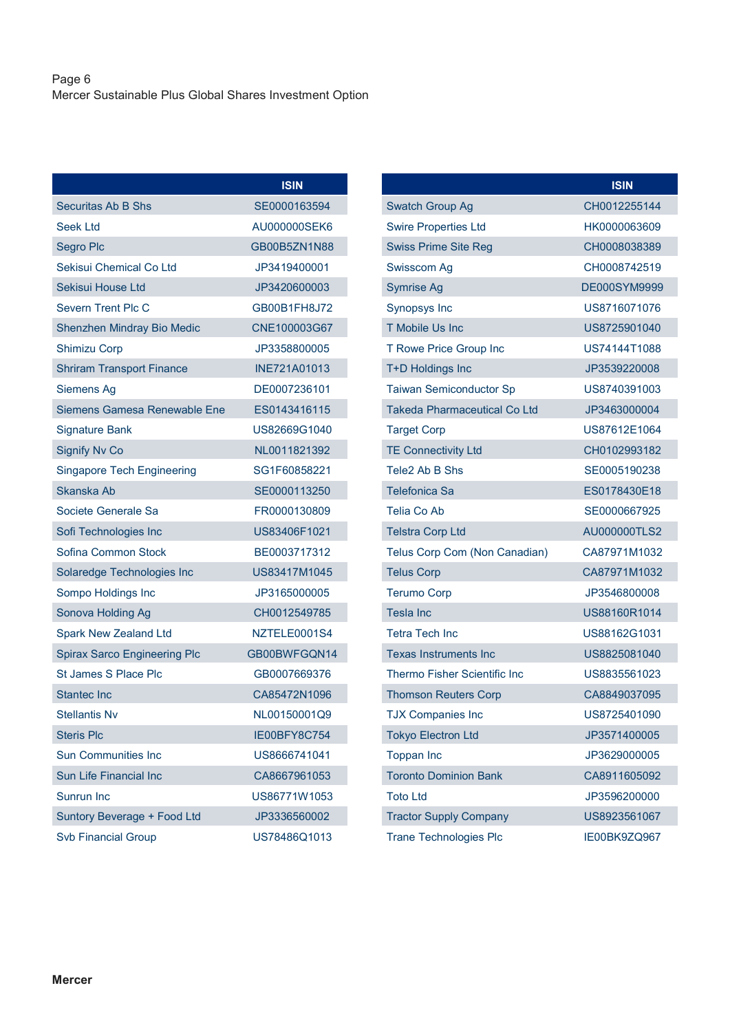## Page 6 Mercer Sustainable Plus Global Shares Investment Option

|                                     | <b>ISIN</b>  |
|-------------------------------------|--------------|
| Securitas Ab B Shs                  | SE0000163594 |
| Seek Ltd                            | AU000000SEK6 |
| Segro Plc                           | GB00B5ZN1N88 |
| Sekisui Chemical Co Ltd             | JP3419400001 |
| Sekisui House Ltd                   | JP3420600003 |
| Severn Trent Plc C                  | GB00B1FH8J72 |
| Shenzhen Mindray Bio Medic          | CNE100003G67 |
| <b>Shimizu Corp</b>                 | JP3358800005 |
| <b>Shriram Transport Finance</b>    | INE721A01013 |
| Siemens Ag                          | DE0007236101 |
| Siemens Gamesa Renewable Ene        | ES0143416115 |
| <b>Signature Bank</b>               | US82669G1040 |
| <b>Signify Nv Co</b>                | NL0011821392 |
| <b>Singapore Tech Engineering</b>   | SG1F60858221 |
| Skanska Ab                          | SE0000113250 |
| Societe Generale Sa                 | FR0000130809 |
| Sofi Technologies Inc               | US83406F1021 |
| Sofina Common Stock                 | BE0003717312 |
| Solaredge Technologies Inc          | US83417M1045 |
| Sompo Holdings Inc                  | JP3165000005 |
| Sonova Holding Ag                   | CH0012549785 |
| <b>Spark New Zealand Ltd</b>        | NZTELE0001S4 |
| <b>Spirax Sarco Engineering Plc</b> | GB00BWFGQN14 |
| St James S Place Plc                | GB0007669376 |
| <b>Stantec Inc</b>                  | CA85472N1096 |
| <b>Stellantis Nv</b>                | NL00150001Q9 |
| <b>Steris Plc</b>                   | IE00BFY8C754 |
| <b>Sun Communities Inc</b>          | US8666741041 |
| <b>Sun Life Financial Inc</b>       | CA8667961053 |
| Sunrun Inc                          | US86771W1053 |
| Suntory Beverage + Food Ltd         | JP3336560002 |
| <b>Svb Financial Group</b>          | US78486Q1013 |

|                                     | <b>ISIN</b>  |
|-------------------------------------|--------------|
| Swatch Group Ag                     | CH0012255144 |
| <b>Swire Properties Ltd</b>         | HK0000063609 |
| <b>Swiss Prime Site Reg</b>         | CH0008038389 |
| Swisscom Ag                         | CH0008742519 |
| <b>Symrise Ag</b>                   | DE000SYM9999 |
| <b>Synopsys Inc</b>                 | US8716071076 |
| <b>T Mobile Us Inc</b>              | US8725901040 |
| T Rowe Price Group Inc              | US74144T1088 |
| T+D Holdings Inc                    | JP3539220008 |
| <b>Taiwan Semiconductor Sp</b>      | US8740391003 |
| <b>Takeda Pharmaceutical Co Ltd</b> | JP3463000004 |
| <b>Target Corp</b>                  | US87612E1064 |
| <b>TE Connectivity Ltd</b>          | CH0102993182 |
| Tele2 Ab B Shs                      | SF0005190238 |
| <b>Telefonica Sa</b>                | ES0178430E18 |
| Telia Co Ab                         | SE0000667925 |
| <b>Telstra Corp Ltd</b>             | AU000000TLS2 |
| Telus Corp Com (Non Canadian)       | CA87971M1032 |
| <b>Telus Corp</b>                   | CA87971M1032 |
| <b>Terumo Corp</b>                  | JP3546800008 |
| Tesla Inc                           | US88160R1014 |
| Tetra Tech Inc                      | US88162G1031 |
| <b>Texas Instruments Inc</b>        | US8825081040 |
| Thermo Fisher Scientific Inc        | US8835561023 |
| <b>Thomson Reuters Corp</b>         | CA8849037095 |
| <b>TJX Companies Inc</b>            | US8725401090 |
| <b>Tokyo Electron Ltd</b>           | JP3571400005 |
| <b>Toppan Inc</b>                   | JP3629000005 |
| <b>Toronto Dominion Bank</b>        | CA8911605092 |
| <b>Toto Ltd</b>                     | JP3596200000 |
| <b>Tractor Supply Company</b>       | US8923561067 |
| <b>Trane Technologies Plc</b>       | IE00BK9ZQ967 |